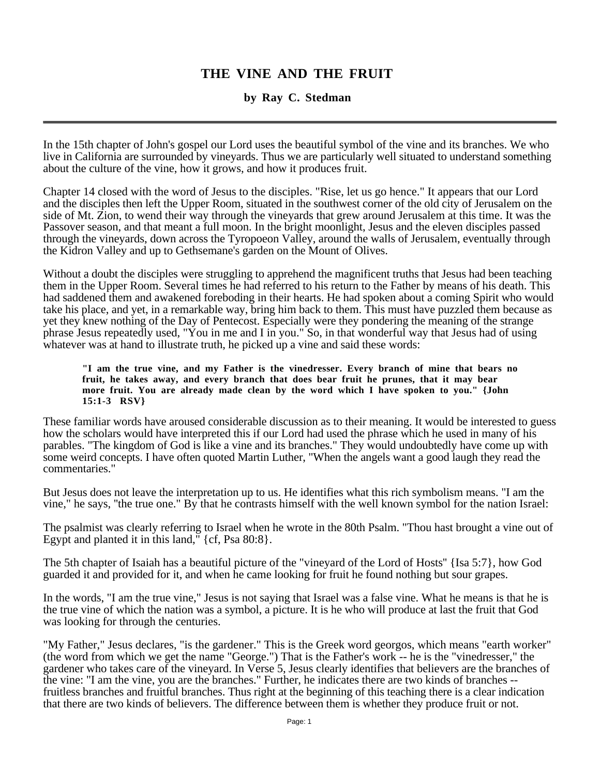# **THE VINE AND THE FRUIT**

# **by Ray C. Stedman**

In the 15th chapter of John's gospel our Lord uses the beautiful symbol of the vine and its branches. We who live in California are surrounded by vineyards. Thus we are particularly well situated to understand something about the culture of the vine, how it grows, and how it produces fruit.

Chapter 14 closed with the word of Jesus to the disciples. "Rise, let us go hence." It appears that our Lord and the disciples then left the Upper Room, situated in the southwest corner of the old city of Jerusalem on the side of Mt. Zion, to wend their way through the vineyards that grew around Jerusalem at this time. It was the Passover season, and that meant a full moon. In the bright moonlight, Jesus and the eleven disciples passed through the vineyards, down across the Tyropoeon Valley, around the walls of Jerusalem, eventually through the Kidron Valley and up to Gethsemane's garden on the Mount of Olives.

Without a doubt the disciples were struggling to apprehend the magnificent truths that Jesus had been teaching them in the Upper Room. Several times he had referred to his return to the Father by means of his death. This had saddened them and awakened foreboding in their hearts. He had spoken about a coming Spirit who would take his place, and yet, in a remarkable way, bring him back to them. This must have puzzled them because as yet they knew nothing of the Day of Pentecost. Especially were they pondering the meaning of the strange phrase Jesus repeatedly used, "You in me and I in you." So, in that wonderful way that Jesus had of using whatever was at hand to illustrate truth, he picked up a vine and said these words:

**"I am the true vine, and my Father is the vinedresser. Every branch of mine that bears no fruit, he takes away, and every branch that does bear fruit he prunes, that it may bear more fruit. You are already made clean by the word which I have spoken to you." {John 15:1-3 RSV}**

These familiar words have aroused considerable discussion as to their meaning. It would be interested to guess how the scholars would have interpreted this if our Lord had used the phrase which he used in many of his parables. "The kingdom of God is like a vine and its branches." They would undoubtedly have come up with some weird concepts. I have often quoted Martin Luther, "When the angels want a good laugh they read the commentaries."

But Jesus does not leave the interpretation up to us. He identifies what this rich symbolism means. "I am the vine," he says, ''the true one." By that he contrasts himself with the well known symbol for the nation Israel:

The psalmist was clearly referring to Israel when he wrote in the 80th Psalm. "Thou hast brought a vine out of Egypt and planted it in this land,  $\sqrt{c}$  {cf, Psa 80:8}.

The 5th chapter of Isaiah has a beautiful picture of the "vineyard of the Lord of Hosts'' {Isa 5:7}, how God guarded it and provided for it, and when he came looking for fruit he found nothing but sour grapes.

In the words, "I am the true vine," Jesus is not saying that Israel was a false vine. What he means is that he is the true vine of which the nation was a symbol, a picture. It is he who will produce at last the fruit that God was looking for through the centuries.

"My Father," Jesus declares, "is the gardener." This is the Greek word georgos, which means "earth worker" (the word from which we get the name "George.") That is the Father's work -- he is the "vinedresser," the gardener who takes care of the vineyard. In Verse 5, Jesus clearly identifies that believers are the branches of the vine: "I am the vine, you are the branches." Further, he indicates there are two kinds of branches - fruitless branches and fruitful branches. Thus right at the beginning of this teaching there is a clear indication that there are two kinds of believers. The difference between them is whether they produce fruit or not.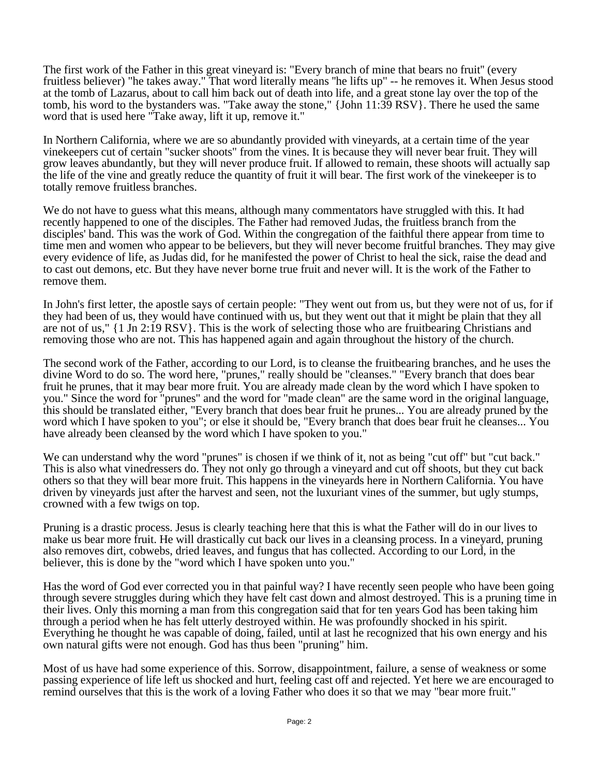The first work of the Father in this great vineyard is: "Every branch of mine that bears no fruit'' (every fruitless believer) "he takes away." That word literally means ''he lifts up" -- he removes it. When Jesus stood at the tomb of Lazarus, about to call him back out of death into life, and a great stone lay over the top of the tomb, his word to the bystanders was. "Take away the stone," {John 11:39 RSV}. There he used the same word that is used here "Take away, lift it up, remove it."

In Northern California, where we are so abundantly provided with vineyards, at a certain time of the year vinekeepers cut of certain "sucker shoots" from the vines. It is because they will never bear fruit. They will grow leaves abundantly, but they will never produce fruit. If allowed to remain, these shoots will actually sap the life of the vine and greatly reduce the quantity of fruit it will bear. The first work of the vinekeeper is to totally remove fruitless branches.

We do not have to guess what this means, although many commentators have struggled with this. It had recently happened to one of the disciples. The Father had removed Judas, the fruitless branch from the disciples' band. This was the work of God. Within the congregation of the faithful there appear from time to time men and women who appear to be believers, but they will never become fruitful branches. They may give every evidence of life, as Judas did, for he manifested the power of Christ to heal the sick, raise the dead and to cast out demons, etc. But they have never borne true fruit and never will. It is the work of the Father to remove them.

In John's first letter, the apostle says of certain people: "They went out from us, but they were not of us, for if they had been of us, they would have continued with us, but they went out that it might be plain that they all are not of us," {1 Jn 2:19 RSV}. This is the work of selecting those who are fruitbearing Christians and removing those who are not. This has happened again and again throughout the history of the church.

The second work of the Father, according to our Lord, is to cleanse the fruitbearing branches, and he uses the divine Word to do so. The word here, "prunes," really should be "cleanses." "Every branch that does bear fruit he prunes, that it may bear more fruit. You are already made clean by the word which I have spoken to you." Since the word for "prunes" and the word for "made clean" are the same word in the original language, this should be translated either, "Every branch that does bear fruit he prunes... You are already pruned by the word which I have spoken to you"; or else it should be, "Every branch that does bear fruit he cleanses... You have already been cleansed by the word which I have spoken to you."

We can understand why the word "prunes" is chosen if we think of it, not as being "cut off" but "cut back." This is also what vinedressers do. They not only go through a vineyard and cut off shoots, but they cut back others so that they will bear more fruit. This happens in the vineyards here in Northern California. You have driven by vineyards just after the harvest and seen, not the luxuriant vines of the summer, but ugly stumps, crowned with a few twigs on top.

Pruning is a drastic process. Jesus is clearly teaching here that this is what the Father will do in our lives to make us bear more fruit. He will drastically cut back our lives in a cleansing process. In a vineyard, pruning also removes dirt, cobwebs, dried leaves, and fungus that has collected. According to our Lord, in the believer, this is done by the "word which I have spoken unto you."

Has the word of God ever corrected you in that painful way? I have recently seen people who have been going through severe struggles during which they have felt cast down and almost destroyed. This is a pruning time in their lives. Only this morning a man from this congregation said that for ten years God has been taking him through a period when he has felt utterly destroyed within. He was profoundly shocked in his spirit. Everything he thought he was capable of doing, failed, until at last he recognized that his own energy and his own natural gifts were not enough. God has thus been "pruning" him.

Most of us have had some experience of this. Sorrow, disappointment, failure, a sense of weakness or some passing experience of life left us shocked and hurt, feeling cast off and rejected. Yet here we are encouraged to remind ourselves that this is the work of a loving Father who does it so that we may "bear more fruit."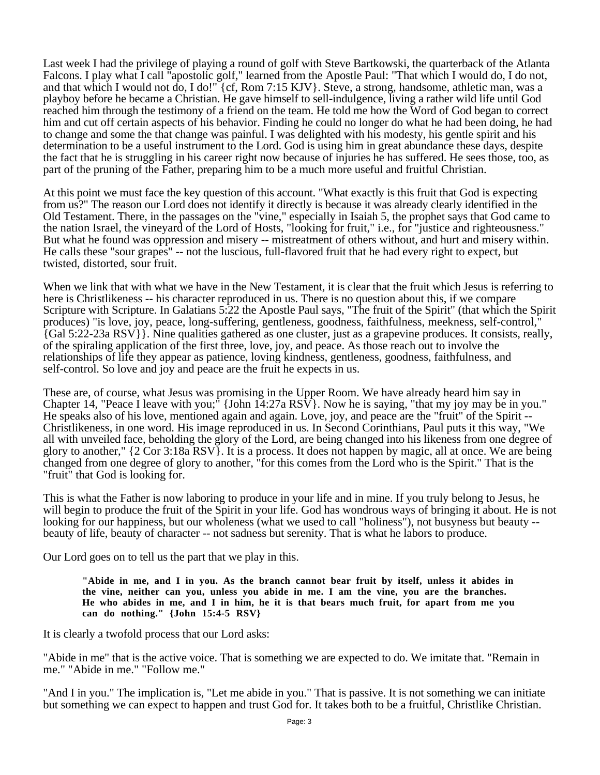Last week I had the privilege of playing a round of golf with Steve Bartkowski, the quarterback of the Atlanta Falcons. I play what I call "apostolic golf," learned from the Apostle Paul: "That which I would do, I do not, and that which I would not do, I do!" {cf, Rom 7:15 KJV}. Steve, a strong, handsome, athletic man, was a playboy before he became a Christian. He gave himself to sell-indulgence, living a rather wild life until God reached him through the testimony of a friend on the team. He told me how the Word of God began to correct him and cut off certain aspects of his behavior. Finding he could no longer do what he had been doing, he had to change and some the that change was painful. I was delighted with his modesty, his gentle spirit and his determination to be a useful instrument to the Lord. God is using him in great abundance these days, despite the fact that he is struggling in his career right now because of injuries he has suffered. He sees those, too, as part of the pruning of the Father, preparing him to be a much more useful and fruitful Christian.

At this point we must face the key question of this account. "What exactly is this fruit that God is expecting from us?" The reason our Lord does not identify it directly is because it was already clearly identified in the Old Testament. There, in the passages on the "vine," especially in Isaiah 5, the prophet says that God came to the nation Israel, the vineyard of the Lord of Hosts, "looking for fruit," i.e., for "justice and righteousness." But what he found was oppression and misery -- mistreatment of others without, and hurt and misery within. He calls these "sour grapes" -- not the luscious, full-flavored fruit that he had every right to expect, but twisted, distorted, sour fruit.

When we link that with what we have in the New Testament, it is clear that the fruit which Jesus is referring to here is Christlikeness -- his character reproduced in us. There is no question about this, if we compare Scripture with Scripture. In Galatians 5:22 the Apostle Paul says, "The fruit of the Spirit" (that which the Spirit produces) "is love, joy, peace, long-suffering, gentleness, goodness, faithfulness, meekness, self-control," {Gal 5:22-23a RSV}}. Nine qualities gathered as one cluster, just as a grapevine produces. It consists, really, of the spiraling application of the first three, love, joy, and peace. As those reach out to involve the relationships of life they appear as patience, loving kindness, gentleness, goodness, faithfulness, and self-control. So love and joy and peace are the fruit he expects in us.

These are, of course, what Jesus was promising in the Upper Room. We have already heard him say in Chapter 14, "Peace I leave with you;" {John  $14:27a RSV$ }. Now he is saying, "that my joy may be in you." He speaks also of his love, mentioned again and again. Love, joy, and peace are the "fruit" of the Spirit -- Christlikeness, in one word. His image reproduced in us. In Second Corinthians, Paul puts it this way, "We all with unveiled face, beholding the glory of the Lord, are being changed into his likeness from one degree of glory to another," {2 Cor 3:18a RSV}. It is a process. It does not happen by magic, all at once. We are being changed from one degree of glory to another, "for this comes from the Lord who is the Spirit." That is the "fruit" that God is looking for.

This is what the Father is now laboring to produce in your life and in mine. If you truly belong to Jesus, he will begin to produce the fruit of the Spirit in your life. God has wondrous ways of bringing it about. He is not looking for our happiness, but our wholeness (what we used to call "holiness"), not busyness but beauty - beauty of life, beauty of character -- not sadness but serenity. That is what he labors to produce.

Our Lord goes on to tell us the part that we play in this.

**"Abide in me, and I in you. As the branch cannot bear fruit by itself, unless it abides in the vine, neither can you, unless you abide in me. I am the vine, you are the branches. He who abides in me, and I in him, he it is that bears much fruit, for apart from me you can do nothing." {John 15:4-5 RSV}**

It is clearly a twofold process that our Lord asks:

"Abide in me" that is the active voice. That is something we are expected to do. We imitate that. "Remain in me." "Abide in me." "Follow me."

"And I in you." The implication is, "Let me abide in you." That is passive. It is not something we can initiate but something we can expect to happen and trust God for. It takes both to be a fruitful, Christlike Christian.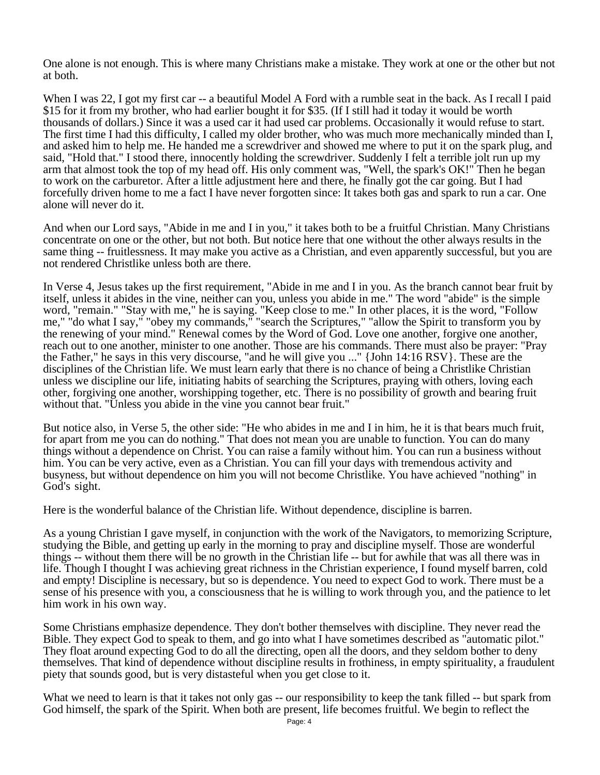One alone is not enough. This is where many Christians make a mistake. They work at one or the other but not at both.

When I was 22, I got my first car -- a beautiful Model A Ford with a rumble seat in the back. As I recall I paid \$15 for it from my brother, who had earlier bought it for \$35. (If I still had it today it would be worth thousands of dollars.) Since it was a used car it had used car problems. Occasionally it would refuse to start. The first time I had this difficulty, I called my older brother, who was much more mechanically minded than I, and asked him to help me. He handed me a screwdriver and showed me where to put it on the spark plug, and said, "Hold that." I stood there, innocently holding the screwdriver. Suddenly I felt a terrible jolt run up my arm that almost took the top of my head off. His only comment was, "Well, the spark's OK!" Then he began to work on the carburetor. After a little adjustment here and there, he finally got the car going. But I had forcefully driven home to me a fact I have never forgotten since: It takes both gas and spark to run a car. One alone will never do it.

And when our Lord says, "Abide in me and I in you," it takes both to be a fruitful Christian. Many Christians concentrate on one or the other, but not both. But notice here that one without the other always results in the same thing -- fruitlessness. It may make you active as a Christian, and even apparently successful, but you are not rendered Christlike unless both are there.

In Verse 4, Jesus takes up the first requirement, "Abide in me and I in you. As the branch cannot bear fruit by itself, unless it abides in the vine, neither can you, unless you abide in me." The word "abide" is the simple word, "remain." "Stay with me," he is saying. "Keep close to me." In other places, it is the word, "Follow me," "do what I say," "obey my commands," "search the Scriptures," "allow the Spirit to transform you by the renewing of your mind." Renewal comes by the Word of God. Love one another, forgive one another, reach out to one another, minister to one another. Those are his commands. There must also be prayer: "Pray the Father," he says in this very discourse, "and he will give you ..." {John 14:16 RSV}. These are the disciplines of the Christian life. We must learn early that there is no chance of being a Christlike Christian unless we discipline our life, initiating habits of searching the Scriptures, praying with others, loving each other, forgiving one another, worshipping together, etc. There is no possibility of growth and bearing fruit without that. "Unless you abide in the vine you cannot bear fruit."

But notice also, in Verse 5, the other side: "He who abides in me and I in him, he it is that bears much fruit, for apart from me you can do nothing." That does not mean you are unable to function. You can do many things without a dependence on Christ. You can raise a family without him. You can run a business without him. You can be very active, even as a Christian. You can fill your days with tremendous activity and busyness, but without dependence on him you will not become Christlike. You have achieved "nothing" in God's sight.

Here is the wonderful balance of the Christian life. Without dependence, discipline is barren.

As a young Christian I gave myself, in conjunction with the work of the Navigators, to memorizing Scripture, studying the Bible, and getting up early in the morning to pray and discipline myself. Those are wonderful things -- without them there will be no growth in the Christian life -- but for awhile that was all there was in life. Though I thought I was achieving great richness in the Christian experience, I found myself barren, cold and empty! Discipline is necessary, but so is dependence. You need to expect God to work. There must be a sense of his presence with you, a consciousness that he is willing to work through you, and the patience to let him work in his own way.

Some Christians emphasize dependence. They don't bother themselves with discipline. They never read the Bible. They expect God to speak to them, and go into what I have sometimes described as "automatic pilot." They float around expecting God to do all the directing, open all the doors, and they seldom bother to deny themselves. That kind of dependence without discipline results in frothiness, in empty spirituality, a fraudulent piety that sounds good, but is very distasteful when you get close to it.

What we need to learn is that it takes not only gas -- our responsibility to keep the tank filled -- but spark from God himself, the spark of the Spirit. When both are present, life becomes fruitful. We begin to reflect the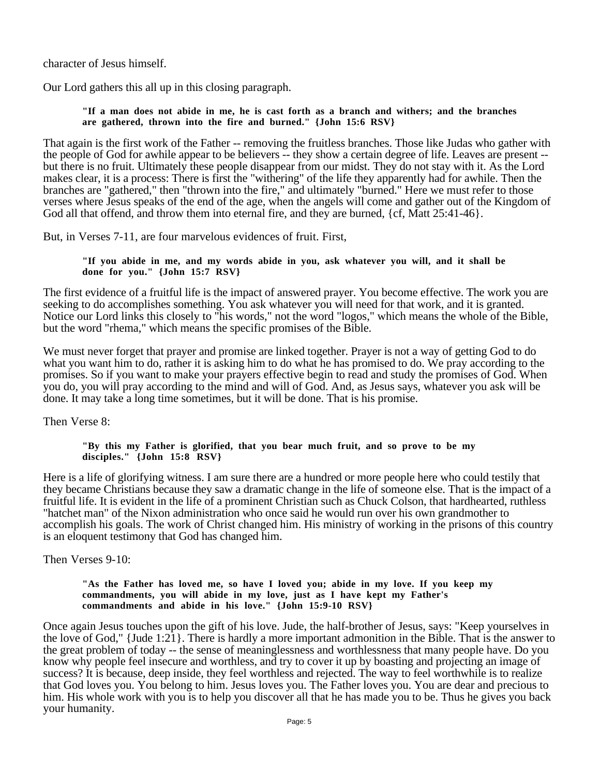character of Jesus himself.

Our Lord gathers this all up in this closing paragraph.

## **"If a man does not abide in me, he is cast forth as a branch and withers; and the branches are gathered, thrown into the fire and burned." {John 15:6 RSV}**

That again is the first work of the Father -- removing the fruitless branches. Those like Judas who gather with the people of God for awhile appear to be believers -- they show a certain degree of life. Leaves are present - but there is no fruit. Ultimately these people disappear from our midst. They do not stay with it. As the Lord makes clear, it is a process: There is first the "withering" of the life they apparently had for awhile. Then the branches are "gathered," then "thrown into the fire," and ultimately "burned." Here we must refer to those verses where Jesus speaks of the end of the age, when the angels will come and gather out of the Kingdom of God all that offend, and throw them into eternal fire, and they are burned, {cf, Matt 25:41-46}.

But, in Verses 7-11, are four marvelous evidences of fruit. First,

**"If you abide in me, and my words abide in you, ask whatever you will, and it shall be done for you." {John 15:7 RSV}**

The first evidence of a fruitful life is the impact of answered prayer. You become effective. The work you are seeking to do accomplishes something. You ask whatever you will need for that work, and it is granted. Notice our Lord links this closely to "his words," not the word "logos," which means the whole of the Bible, but the word "rhema," which means the specific promises of the Bible.

We must never forget that prayer and promise are linked together. Prayer is not a way of getting God to do what you want him to do, rather it is asking him to do what he has promised to do. We pray according to the promises. So if you want to make your prayers effective begin to read and study the promises of God. When you do, you will pray according to the mind and will of God. And, as Jesus says, whatever you ask will be done. It may take a long time sometimes, but it will be done. That is his promise.

Then Verse 8:

## **"By this my Father is glorified, that you bear much fruit, and so prove to be my disciples." {John 15:8 RSV}**

Here is a life of glorifying witness. I am sure there are a hundred or more people here who could testily that they became Christians because they saw a dramatic change in the life of someone else. That is the impact of a fruitful life. It is evident in the life of a prominent Christian such as Chuck Colson, that hardhearted, ruthless "hatchet man" of the Nixon administration who once said he would run over his own grandmother to accomplish his goals. The work of Christ changed him. His ministry of working in the prisons of this country is an eloquent testimony that God has changed him.

Then Verses 9-10:

#### **"As the Father has loved me, so have I loved you; abide in my love. If you keep my commandments, you will abide in my love, just as I have kept my Father's commandments and abide in his love." {John 15:9-10 RSV}**

Once again Jesus touches upon the gift of his love. Jude, the half-brother of Jesus, says: "Keep yourselves in the love of God," {Jude 1:21}. There is hardly a more important admonition in the Bible. That is the answer to the great problem of today -- the sense of meaninglessness and worthlessness that many people have. Do you know why people feel insecure and worthless, and try to cover it up by boasting and projecting an image of success? It is because, deep inside, they feel worthless and rejected. The way to feel worthwhile is to realize that God loves you. You belong to him. Jesus loves you. The Father loves you. You are dear and precious to him. His whole work with you is to help you discover all that he has made you to be. Thus he gives you back your humanity.